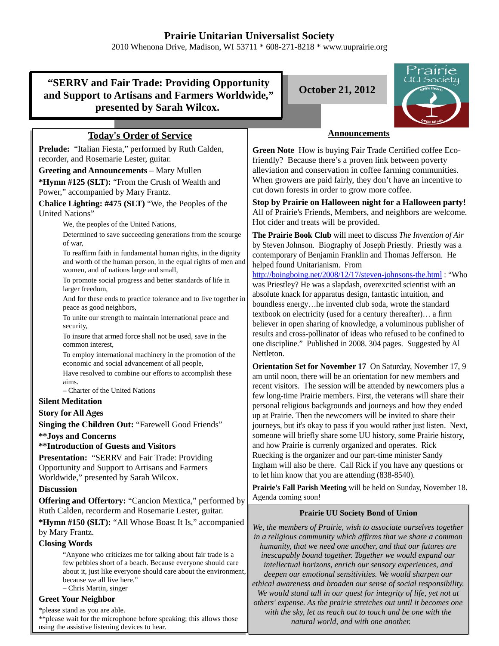# **Prairie Unitarian Universalist Society**

2010 Whenona Drive, Madison, WI 53711 \* 608-271-8218 \* www.uuprairie.org

## **"SERRV and Fair Trade: Providing Opportunity and Support to Artisans and Farmers Worldwide," presented by Sarah Wilcox.**

**October 21, 2012**



## **Today's Order of Service**

**Prelude:** "Italian Fiesta," performed by Ruth Calden, recorder, and Rosemarie Lester, guitar.

**Greeting and Announcements** – Mary Mullen

**\*Hymn #125 (SLT):** "From the Crush of Wealth and Power," accompanied by Mary Frantz.

**Chalice Lighting: #475 (SLT)** "We, the Peoples of the United Nations"

We, the peoples of the United Nations,

Determined to save succeeding generations from the scourge of war,

To reaffirm faith in fundamental human rights, in the dignity and worth of the human person, in the equal rights of men and women, and of nations large and small,

To promote social progress and better standards of life in larger freedom,

And for these ends to practice tolerance and to live together in peace as good neighbors,

To unite our strength to maintain international peace and security,

To insure that armed force shall not be used, save in the common interest,

To employ international machinery in the promotion of the economic and social advancement of all people,

Have resolved to combine our efforts to accomplish these aims.

– Charter of the United Nations

## **Silent Meditation**

## **Story for All Ages**

**Singing the Children Out:** "Farewell Good Friends"

**\*\*Joys and Concerns**

#### **\*\*Introduction of Guests and Visitors**

**Presentation:** "SERRV and Fair Trade: Providing Opportunity and Support to Artisans and Farmers Worldwide," presented by Sarah Wilcox.

#### **Discussion**

**Offering and Offertory:** "Cancion Mextica," performed by Ruth Calden, recorderm and Rosemarie Lester, guitar.

**\*Hymn #150 (SLT):** "All Whose Boast It Is," accompanied by Mary Frantz.

## **Closing Words**

"Anyone who criticizes me for talking about fair trade is a few pebbles short of a beach. Because everyone should care about it, just like everyone should care about the environment, because we all live here."

– Chris Martin, singer

## **Greet Your Neighbor**

\*please stand as you are able.

\*\*please wait for the microphone before speaking; this allows those using the assistive listening devices to hear.

## **Announcements**

**Green Note** How is buying Fair Trade Certified coffee Ecofriendly? Because there's a proven link between poverty alleviation and conservation in coffee farming communities. When growers are paid fairly, they don't have an incentive to cut down forests in order to grow more coffee.

**Stop by Prairie on Halloween night for a Halloween party!** All of Prairie's Friends, Members, and neighbors are welcome. Hot cider and treats will be provided.

**The Prairie Book Club** will meet to discuss *The Invention of Air* by Steven Johnson. Biography of Joseph Priestly. Priestly was a contemporary of Benjamin Franklin and Thomas Jefferson. He helped found Unitarianism. From

http://boingboing.net/2008/12/17/steven-johnsons-the.html : "Who was Priestley? He was a slapdash, overexcited scientist with an absolute knack for apparatus design, fantastic intuition, and boundless energy…he invented club soda, wrote the standard textbook on electricity (used for a century thereafter)… a firm believer in open sharing of knowledge, a voluminous publisher of results and cross-pollinator of ideas who refused to be confined to one discipline." Published in 2008. 304 pages. Suggested by Al Nettleton.

**Orientation Set for November 17** On Saturday, November 17, 9 am until noon, there will be an orientation for new members and recent visitors. The session will be attended by newcomers plus a few long-time Prairie members. First, the veterans will share their personal religious backgrounds and journeys and how they ended up at Prairie. Then the newcomers will be invited to share their journeys, but it's okay to pass if you would rather just listen. Next, someone will briefly share some UU history, some Prairie history, and how Prairie is currenly organized and operates. Rick Ruecking is the organizer and our part-time minister Sandy Ingham will also be there. Call Rick if you have any questions or to let him know that you are attending (838-8540).

**Prairie's Fall Parish Meeting** will be held on Sunday, November 18. Agenda coming soon!

#### **Prairie UU Society Bond of Union**

*We, the members of Prairie, wish to associate ourselves together in a religious community which affirms that we share a common humanity, that we need one another, and that our futures are inescapably bound together. Together we would expand our intellectual horizons, enrich our sensory experiences, and deepen our emotional sensitivities. We would sharpen our ethical awareness and broaden our sense of social responsibility. We would stand tall in our quest for integrity of life, yet not at others' expense. As the prairie stretches out until it becomes one with the sky, let us reach out to touch and be one with the natural world, and with one another.*